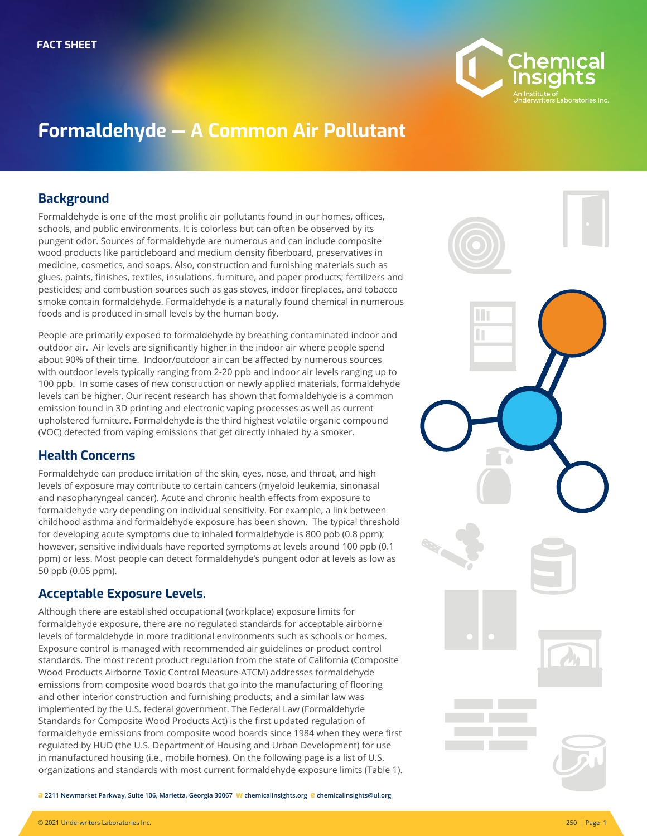

# **Formaldehyde — A Common Air Pollutant**

#### **Background**

Formaldehyde is one of the most prolific air pollutants found in our homes, offices, schools, and public environments. It is colorless but can often be observed by its pungent odor. Sources of formaldehyde are numerous and can include composite wood products like particleboard and medium density fiberboard, preservatives in medicine, cosmetics, and soaps. Also, construction and furnishing materials such as glues, paints, finishes, textiles, insulations, furniture, and paper products; fertilizers and pesticides; and combustion sources such as gas stoves, indoor fireplaces, and tobacco smoke contain formaldehyde. Formaldehyde is a naturally found chemical in numerous foods and is produced in small levels by the human body.

People are primarily exposed to formaldehyde by breathing contaminated indoor and outdoor air. Air levels are significantly higher in the indoor air where people spend about 90% of their time. Indoor/outdoor air can be affected by numerous sources with outdoor levels typically ranging from 2-20 ppb and indoor air levels ranging up to 100 ppb. In some cases of new construction or newly applied materials, formaldehyde levels can be higher. Our recent research has shown that formaldehyde is a common emission found in 3D printing and electronic vaping processes as well as current upholstered furniture. Formaldehyde is the third highest volatile organic compound (VOC) detected from vaping emissions that get directly inhaled by a smoker.

## **Health Concerns**

Formaldehyde can produce irritation of the skin, eyes, nose, and throat, and high levels of exposure may contribute to certain cancers (myeloid leukemia, sinonasal and nasopharyngeal cancer). Acute and chronic health effects from exposure to formaldehyde vary depending on individual sensitivity. For example, a link between childhood asthma and formaldehyde exposure has been shown. The typical threshold for developing acute symptoms due to inhaled formaldehyde is 800 ppb (0.8 ppm); however, sensitive individuals have reported symptoms at levels around 100 ppb (0.1 ppm) or less. Most people can detect formaldehyde's pungent odor at levels as low as 50 ppb (0.05 ppm).

## **Acceptable Exposure Levels.**

Although there are established occupational (workplace) exposure limits for formaldehyde exposure, there are no regulated standards for acceptable airborne levels of formaldehyde in more traditional environments such as schools or homes. Exposure control is managed with recommended air guidelines or product control standards. The most recent product regulation from the state of California (Composite Wood Products Airborne Toxic Control Measure-ATCM) addresses formaldehyde emissions from composite wood boards that go into the manufacturing of flooring and other interior construction and furnishing products; and a similar law was implemented by the U.S. federal government. The Federal Law (Formaldehyde Standards for Composite Wood Products Act) is the first updated regulation of formaldehyde emissions from composite wood boards since 1984 when they were first regulated by HUD (the U.S. Department of Housing and Urban Development) for use in manufactured housing (i.e., mobile homes). On the following page is a list of U.S. organizations and standards with most current formaldehyde exposure limits (Table 1).

**Photo** H Ш

**a 2211 Newmarket Parkway, Suite 106, Marietta, Georgia 30067 w chemicalinsights.org e chemicalinsights@ul.org**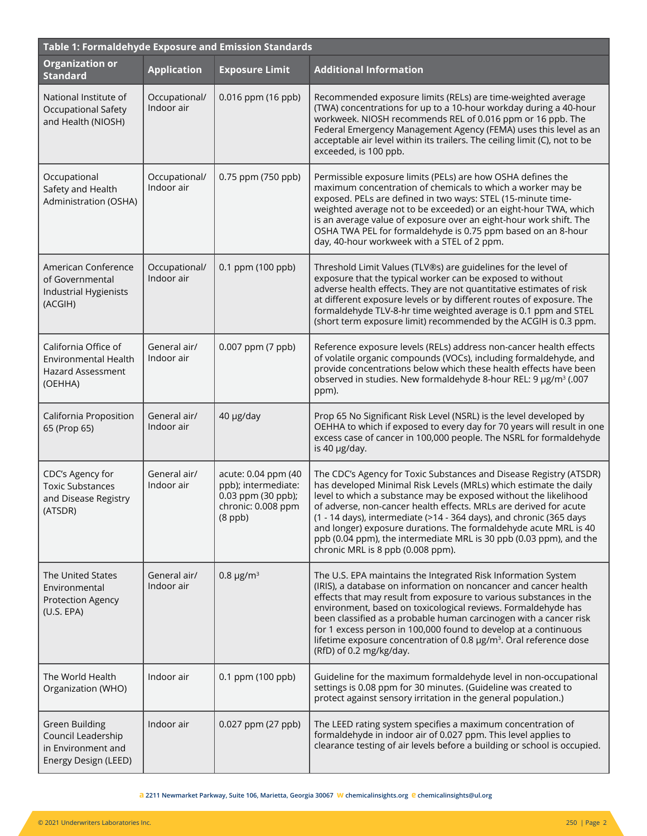| Table 1: Formaldehyde Exposure and Emission Standards                               |                             |                                                                                                       |                                                                                                                                                                                                                                                                                                                                                                                                                                                                                                                                        |  |  |
|-------------------------------------------------------------------------------------|-----------------------------|-------------------------------------------------------------------------------------------------------|----------------------------------------------------------------------------------------------------------------------------------------------------------------------------------------------------------------------------------------------------------------------------------------------------------------------------------------------------------------------------------------------------------------------------------------------------------------------------------------------------------------------------------------|--|--|
| <b>Organization or</b><br><b>Standard</b>                                           | <b>Application</b>          | <b>Exposure Limit</b>                                                                                 | <b>Additional Information</b>                                                                                                                                                                                                                                                                                                                                                                                                                                                                                                          |  |  |
| National Institute of<br>Occupational Safety<br>and Health (NIOSH)                  | Occupational/<br>Indoor air | 0.016 ppm (16 ppb)                                                                                    | Recommended exposure limits (RELs) are time-weighted average<br>(TWA) concentrations for up to a 10-hour workday during a 40-hour<br>workweek. NIOSH recommends REL of 0.016 ppm or 16 ppb. The<br>Federal Emergency Management Agency (FEMA) uses this level as an<br>acceptable air level within its trailers. The ceiling limit (C), not to be<br>exceeded, is 100 ppb.                                                                                                                                                             |  |  |
| Occupational<br>Safety and Health<br>Administration (OSHA)                          | Occupational/<br>Indoor air | 0.75 ppm (750 ppb)                                                                                    | Permissible exposure limits (PELs) are how OSHA defines the<br>maximum concentration of chemicals to which a worker may be<br>exposed. PELs are defined in two ways: STEL (15-minute time-<br>weighted average not to be exceeded) or an eight-hour TWA, which<br>is an average value of exposure over an eight-hour work shift. The<br>OSHA TWA PEL for formaldehyde is 0.75 ppm based on an 8-hour<br>day, 40-hour workweek with a STEL of 2 ppm.                                                                                    |  |  |
| American Conference<br>of Governmental<br>Industrial Hygienists<br>(ACGIH)          | Occupational/<br>Indoor air | 0.1 ppm (100 ppb)                                                                                     | Threshold Limit Values (TLV®s) are guidelines for the level of<br>exposure that the typical worker can be exposed to without<br>adverse health effects. They are not quantitative estimates of risk<br>at different exposure levels or by different routes of exposure. The<br>formaldehyde TLV-8-hr time weighted average is 0.1 ppm and STEL<br>(short term exposure limit) recommended by the ACGIH is 0.3 ppm.                                                                                                                     |  |  |
| California Office of<br>Environmental Health<br><b>Hazard Assessment</b><br>(OEHHA) | General air/<br>Indoor air  | 0.007 ppm (7 ppb)                                                                                     | Reference exposure levels (RELs) address non-cancer health effects<br>of volatile organic compounds (VOCs), including formaldehyde, and<br>provide concentrations below which these health effects have been<br>observed in studies. New formaldehyde 8-hour REL: 9 µg/m <sup>3</sup> (.007<br>ppm).                                                                                                                                                                                                                                   |  |  |
| California Proposition<br>65 (Prop 65)                                              | General air/<br>Indoor air  | 40 µg/day                                                                                             | Prop 65 No Significant Risk Level (NSRL) is the level developed by<br>OEHHA to which if exposed to every day for 70 years will result in one<br>excess case of cancer in 100,000 people. The NSRL for formaldehyde<br>is 40 µg/day.                                                                                                                                                                                                                                                                                                    |  |  |
| CDC's Agency for<br><b>Toxic Substances</b><br>and Disease Registry<br>(ATSDR)      | General air/<br>Indoor air  | acute: 0.04 ppm (40<br>ppb); intermediate:<br>$0.03$ ppm (30 ppb);<br>chronic: 0.008 ppm<br>$(8$ ppb) | The CDC's Agency for Toxic Substances and Disease Registry (ATSDR)<br>has developed Minimal Risk Levels (MRLs) which estimate the daily<br>level to which a substance may be exposed without the likelihood<br>of adverse, non-cancer health effects. MRLs are derived for acute<br>(1 - 14 days), intermediate (>14 - 364 days), and chronic (365 days<br>and longer) exposure durations. The formaldehyde acute MRL is 40<br>ppb (0.04 ppm), the intermediate MRL is 30 ppb (0.03 ppm), and the<br>chronic MRL is 8 ppb (0.008 ppm). |  |  |
| <b>The United States</b><br>Environmental<br>Protection Agency<br>(U.S. EPA)        | General air/<br>Indoor air  | $0.8 \,\mu g/m^3$                                                                                     | The U.S. EPA maintains the Integrated Risk Information System<br>(IRIS), a database on information on noncancer and cancer health<br>effects that may result from exposure to various substances in the<br>environment, based on toxicological reviews. Formaldehyde has<br>been classified as a probable human carcinogen with a cancer risk<br>for 1 excess person in 100,000 found to develop at a continuous<br>lifetime exposure concentration of 0.8 $\mu$ g/m <sup>3</sup> . Oral reference dose<br>(RfD) of 0.2 mg/kg/day.     |  |  |
| The World Health<br>Organization (WHO)                                              | Indoor air                  | 0.1 ppm (100 ppb)                                                                                     | Guideline for the maximum formaldehyde level in non-occupational<br>settings is 0.08 ppm for 30 minutes. (Guideline was created to<br>protect against sensory irritation in the general population.)                                                                                                                                                                                                                                                                                                                                   |  |  |
| Green Building<br>Council Leadership<br>in Environment and<br>Energy Design (LEED)  | Indoor air                  | 0.027 ppm (27 ppb)                                                                                    | The LEED rating system specifies a maximum concentration of<br>formaldehyde in indoor air of 0.027 ppm. This level applies to<br>clearance testing of air levels before a building or school is occupied.                                                                                                                                                                                                                                                                                                                              |  |  |

**a 2211 Newmarket Parkway, Suite 106, Marietta, Georgia 30067 w chemicalinsights.org e chemicalinsights@ul.org**